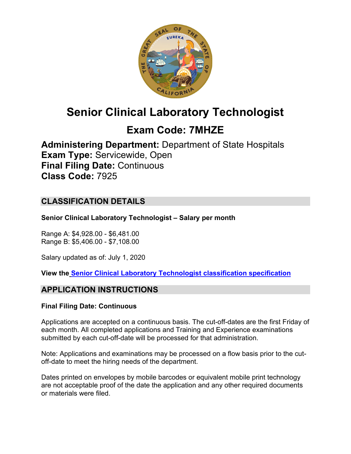

# **Senior Clinical Laboratory Technologist**

## **Exam Code: 7MHZE**

**Administering Department:** Department of State Hospitals **Exam Type:** Servicewide, Open **Final Filing Date:** Continuous **Class Code:** 7925

## **CLASSIFICATION DETAILS**

**Senior Clinical Laboratory Technologist – Salary per month**

Range A: \$4,928.00 - \$6,481.00 Range B: \$5,406.00 - \$7,108.00

Salary updated as of: July 1, 2020

**View the [Senior Clinical Laboratory Technologist classification specification](https://www.calhr.ca.gov/state-hr-professionals/pages/7925.aspx)**

## **APPLICATION INSTRUCTIONS**

#### **Final Filing Date: Continuous**

Applications are accepted on a continuous basis. The cut-off-dates are the first Friday of each month. All completed applications and Training and Experience examinations submitted by each cut-off-date will be processed for that administration.

Note: Applications and examinations may be processed on a flow basis prior to the cutoff-date to meet the hiring needs of the department.

Dates printed on envelopes by mobile barcodes or equivalent mobile print technology are not acceptable proof of the date the application and any other required documents or materials were filed.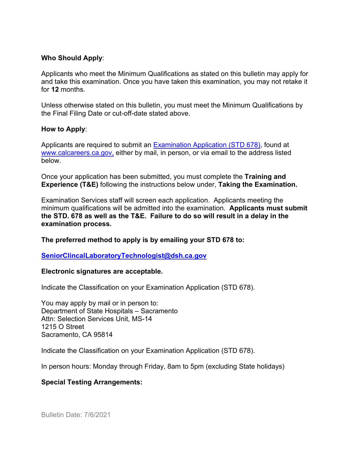#### **Who Should Apply**:

Applicants who meet the Minimum Qualifications as stated on this bulletin may apply for and take this examination. Once you have taken this examination, you may not retake it for **12** months.

Unless otherwise stated on this bulletin, you must meet the Minimum Qualifications by the Final Filing Date or cut-off-date stated above.

#### **How to Apply**:

Applicants are required to submit an [Examination Application \(STD 678\),](https://jobs.ca.gov/pdf/std678.pdf) found at [www.calcareers.ca.gov,](http://www.calcareers.ca.gov/) either by mail, in person, or via email to the address listed below.

Once your application has been submitted, you must complete the **Training and Experience (T&E)** following the instructions below under, **Taking the Examination.**

Examination Services staff will screen each application. Applicants meeting the minimum qualifications will be admitted into the examination. **Applicants must submit the STD. 678 as well as the T&E. Failure to do so will result in a delay in the examination process.**

**The preferred method to apply is by emailing your STD 678 to:**

**[SeniorClincalLaboratoryTechnologist@dsh.ca.gov](mailto:SeniorClincalLaboratoryTechnologist@dsh.ca.gov)**

#### **Electronic signatures are acceptable.**

Indicate the Classification on your Examination Application (STD 678).

You may apply by mail or in person to: Department of State Hospitals – Sacramento Attn: Selection Services Unit, MS-14 1215 O Street Sacramento, CA 95814

Indicate the Classification on your Examination Application (STD 678).

In person hours: Monday through Friday, 8am to 5pm (excluding State holidays)

#### **Special Testing Arrangements:**

Bulletin Date: 7/6/2021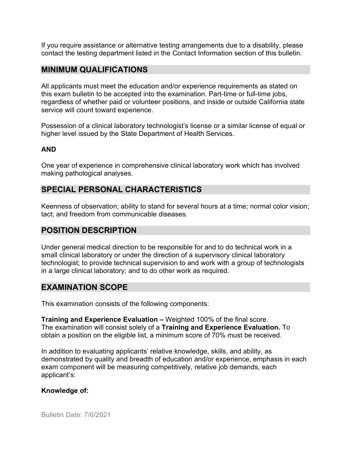If you require assistance or alternative testing arrangements due to a disability, please contact the testing department listed in the Contact Information section of this bulletin.

#### **MINIMUM QUALIFICATIONS**

All applicants must meet the education and/or experience requirements as stated on this exam bulletin to be accepted into the examination. Part-time or full-time jobs, regardless of whether paid or volunteer positions, and inside or outside California state service will count toward experience.

Possession of a clinical laboratory technologist's license or a similar license of equal or higher level issued by the State Department of Health Services.

#### **AND**

One year of experience in comprehensive clinical laboratory work which has involved making pathological analyses.

## **SPECIAL PERSONAL CHARACTERISTICS**

Keenness of observation; ability to stand for several hours at a time; normal color vision; tact; and freedom from communicable diseases.

#### **POSITION DESCRIPTION**

Under general medical direction to be responsible for and to do technical work in a small clinical laboratory or under the direction of a supervisory clinical laboratory technologist; to provide technical supervision to and work with a group of technologists in a large clinical laboratory; and to do other work as required.

#### **EXAMINATION SCOPE**

This examination consists of the following components:

**Training and Experience Evaluation –** Weighted 100% of the final score. The examination will consist solely of a **Training and Experience Evaluation.** To obtain a position on the eligible list, a minimum score of 70% must be received.

In addition to evaluating applicants' relative knowledge, skills, and ability, as demonstrated by quality and breadth of education and/or experience, emphasis in each exam component will be measuring competitively, relative job demands, each applicant's:

#### **Knowledge of:**

Bulletin Date: 7/6/2021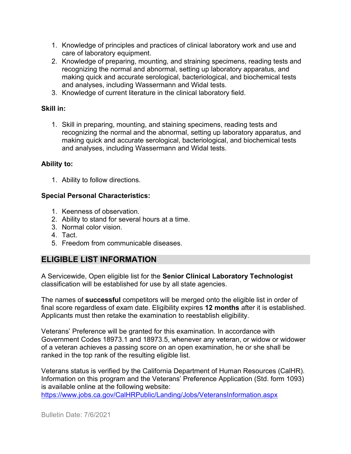- 1. Knowledge of principles and practices of clinical laboratory work and use and care of laboratory equipment.
- 2. Knowledge of preparing, mounting, and straining specimens, reading tests and recognizing the normal and abnormal, setting up laboratory apparatus, and making quick and accurate serological, bacteriological, and biochemical tests and analyses, including Wassermann and Widal tests.
- 3. Knowledge of current literature in the clinical laboratory field.

#### **Skill in:**

1. Skill in preparing, mounting, and staining specimens, reading tests and recognizing the normal and the abnormal, setting up laboratory apparatus, and making quick and accurate serological, bacteriological, and biochemical tests and analyses, including Wassermann and Widal tests.

#### **Ability to:**

1. Ability to follow directions.

#### **Special Personal Characteristics:**

- 1. Keenness of observation.
- 2. Ability to stand for several hours at a time.
- 3. Normal color vision.
- 4. Tact.
- 5. Freedom from communicable diseases.

## **ELIGIBLE LIST INFORMATION**

A Servicewide, Open eligible list for the **Senior Clinical Laboratory Technologist** classification will be established for use by all state agencies.

The names of **successful** competitors will be merged onto the eligible list in order of final score regardless of exam date. Eligibility expires **12 months** after it is established. Applicants must then retake the examination to reestablish eligibility.

Veterans' Preference will be granted for this examination. In accordance with Government Codes 18973.1 and 18973.5, whenever any veteran, or widow or widower of a veteran achieves a passing score on an open examination, he or she shall be ranked in the top rank of the resulting eligible list.

Veterans status is verified by the California Department of Human Resources (CalHR). Information on this program and the Veterans' Preference Application (Std. form 1093) is available online at the following website:

<https://www.jobs.ca.gov/CalHRPublic/Landing/Jobs/VeteransInformation.aspx>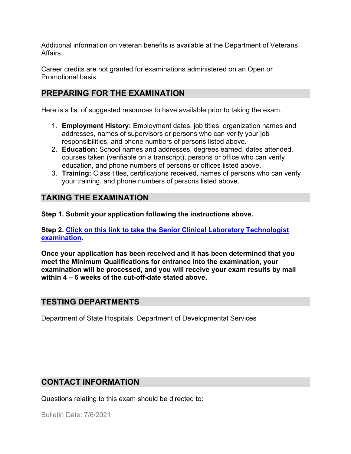Additional information on veteran benefits is available at the Department of Veterans Affairs.

Career credits are not granted for examinations administered on an Open or Promotional basis.

## **PREPARING FOR THE EXAMINATION**

Here is a list of suggested resources to have available prior to taking the exam.

- 1. **Employment History:** Employment dates, job titles, organization names and addresses, names of supervisors or persons who can verify your job responsibilities, and phone numbers of persons listed above.
- 2. **Education:** School names and addresses, degrees earned, dates attended, courses taken (verifiable on a transcript), persons or office who can verify education, and phone numbers of persons or offices listed above.
- 3. **Training:** Class titles, certifications received, names of persons who can verify your training, and phone numbers of persons listed above.

## **TAKING THE EXAMINATION**

**Step 1. Submit your application following the instructions above.**

**Step 2. [Click on this link to take the Senior Clinical Laboratory Technologist](https://www.surveymonkey.com/r/CB3MHWC)  [examination.](https://www.surveymonkey.com/r/CB3MHWC)**

**Once your application has been received and it has been determined that you meet the Minimum Qualifications for entrance into the examination, your examination will be processed, and you will receive your exam results by mail within 4 – 6 weeks of the cut-off-date stated above.**

## **TESTING DEPARTMENTS**

Department of State Hospitals, Department of Developmental Services

#### **CONTACT INFORMATION**

Questions relating to this exam should be directed to:

Bulletin Date: 7/6/2021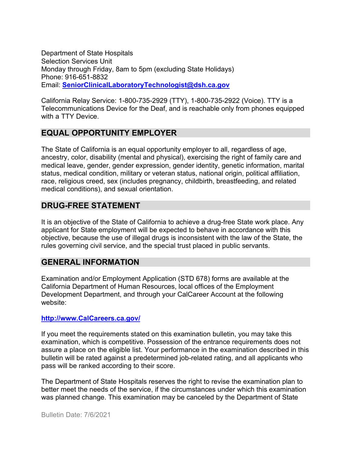Department of State Hospitals Selection Services Unit Monday through Friday, 8am to 5pm (excluding State Holidays) Phone: 916-651-8832 Email: **[SeniorClinicalLaboratoryTechnologist@dsh.ca.gov](mailto:TestExam@dsh.ca.gov)**

California Relay Service: 1-800-735-2929 (TTY), 1-800-735-2922 (Voice). TTY is a Telecommunications Device for the Deaf, and is reachable only from phones equipped with a TTY Device.

## **EQUAL OPPORTUNITY EMPLOYER**

The State of California is an equal opportunity employer to all, regardless of age, ancestry, color, disability (mental and physical), exercising the right of family care and medical leave, gender, gender expression, gender identity, genetic information, marital status, medical condition, military or veteran status, national origin, political affiliation, race, religious creed, sex (includes pregnancy, childbirth, breastfeeding, and related medical conditions), and sexual orientation.

## **DRUG-FREE STATEMENT**

It is an objective of the State of California to achieve a drug-free State work place. Any applicant for State employment will be expected to behave in accordance with this objective, because the use of illegal drugs is inconsistent with the law of the State, the rules governing civil service, and the special trust placed in public servants.

## **GENERAL INFORMATION**

Examination and/or Employment Application (STD 678) forms are available at the California Department of Human Resources, local offices of the Employment Development Department, and through your CalCareer Account at the following website:

#### **http://www.CalCareers.ca.gov/**

If you meet the requirements stated on this examination bulletin, you may take this examination, which is competitive. Possession of the entrance requirements does not assure a place on the eligible list. Your performance in the examination described in this bulletin will be rated against a predetermined job-related rating, and all applicants who pass will be ranked according to their score.

The Department of State Hospitals reserves the right to revise the examination plan to better meet the needs of the service, if the circumstances under which this examination was planned change. This examination may be canceled by the Department of State